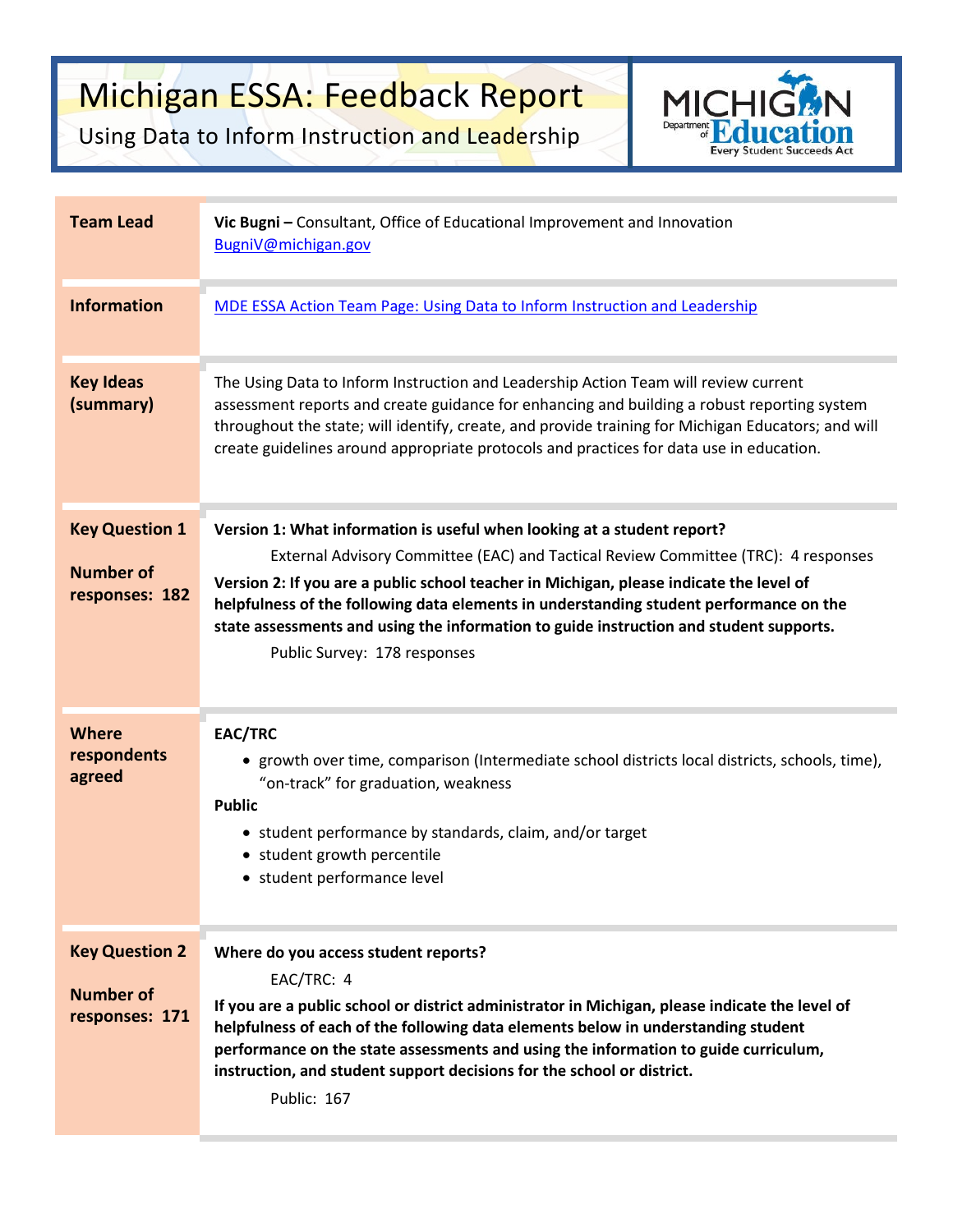## Michigan ESSA: Feedback Report

Using Data to Inform Instruction and Leadership



| <b>Team Lead</b>              | Vic Bugni - Consultant, Office of Educational Improvement and Innovation<br>BugniV@michigan.gov                                                                                                                                                                                                                                                                                     |
|-------------------------------|-------------------------------------------------------------------------------------------------------------------------------------------------------------------------------------------------------------------------------------------------------------------------------------------------------------------------------------------------------------------------------------|
| <b>Information</b>            | MDE ESSA Action Team Page: Using Data to Inform Instruction and Leadership                                                                                                                                                                                                                                                                                                          |
| <b>Key Ideas</b><br>(summary) | The Using Data to Inform Instruction and Leadership Action Team will review current<br>assessment reports and create guidance for enhancing and building a robust reporting system<br>throughout the state; will identify, create, and provide training for Michigan Educators; and will<br>create guidelines around appropriate protocols and practices for data use in education. |
| <b>Key Question 1</b>         | Version 1: What information is useful when looking at a student report?                                                                                                                                                                                                                                                                                                             |
| <b>Number of</b>              | External Advisory Committee (EAC) and Tactical Review Committee (TRC): 4 responses                                                                                                                                                                                                                                                                                                  |
| responses: 182                | Version 2: If you are a public school teacher in Michigan, please indicate the level of<br>helpfulness of the following data elements in understanding student performance on the<br>state assessments and using the information to guide instruction and student supports.<br>Public Survey: 178 responses                                                                         |
| <b>Where</b>                  | <b>EAC/TRC</b>                                                                                                                                                                                                                                                                                                                                                                      |
| respondents                   | • growth over time, comparison (Intermediate school districts local districts, schools, time),                                                                                                                                                                                                                                                                                      |
| agreed                        | "on-track" for graduation, weakness<br><b>Public</b>                                                                                                                                                                                                                                                                                                                                |
|                               | • student performance by standards, claim, and/or target                                                                                                                                                                                                                                                                                                                            |
|                               | • student growth percentile                                                                                                                                                                                                                                                                                                                                                         |
|                               | • student performance level                                                                                                                                                                                                                                                                                                                                                         |
| <b>Key Question 2</b>         | Where do you access student reports?                                                                                                                                                                                                                                                                                                                                                |
| <b>Number of</b>              | EAC/TRC: 4                                                                                                                                                                                                                                                                                                                                                                          |
| responses: 171                | If you are a public school or district administrator in Michigan, please indicate the level of                                                                                                                                                                                                                                                                                      |
|                               | helpfulness of each of the following data elements below in understanding student<br>performance on the state assessments and using the information to guide curriculum,                                                                                                                                                                                                            |
|                               | instruction, and student support decisions for the school or district.                                                                                                                                                                                                                                                                                                              |
|                               | Public: 167                                                                                                                                                                                                                                                                                                                                                                         |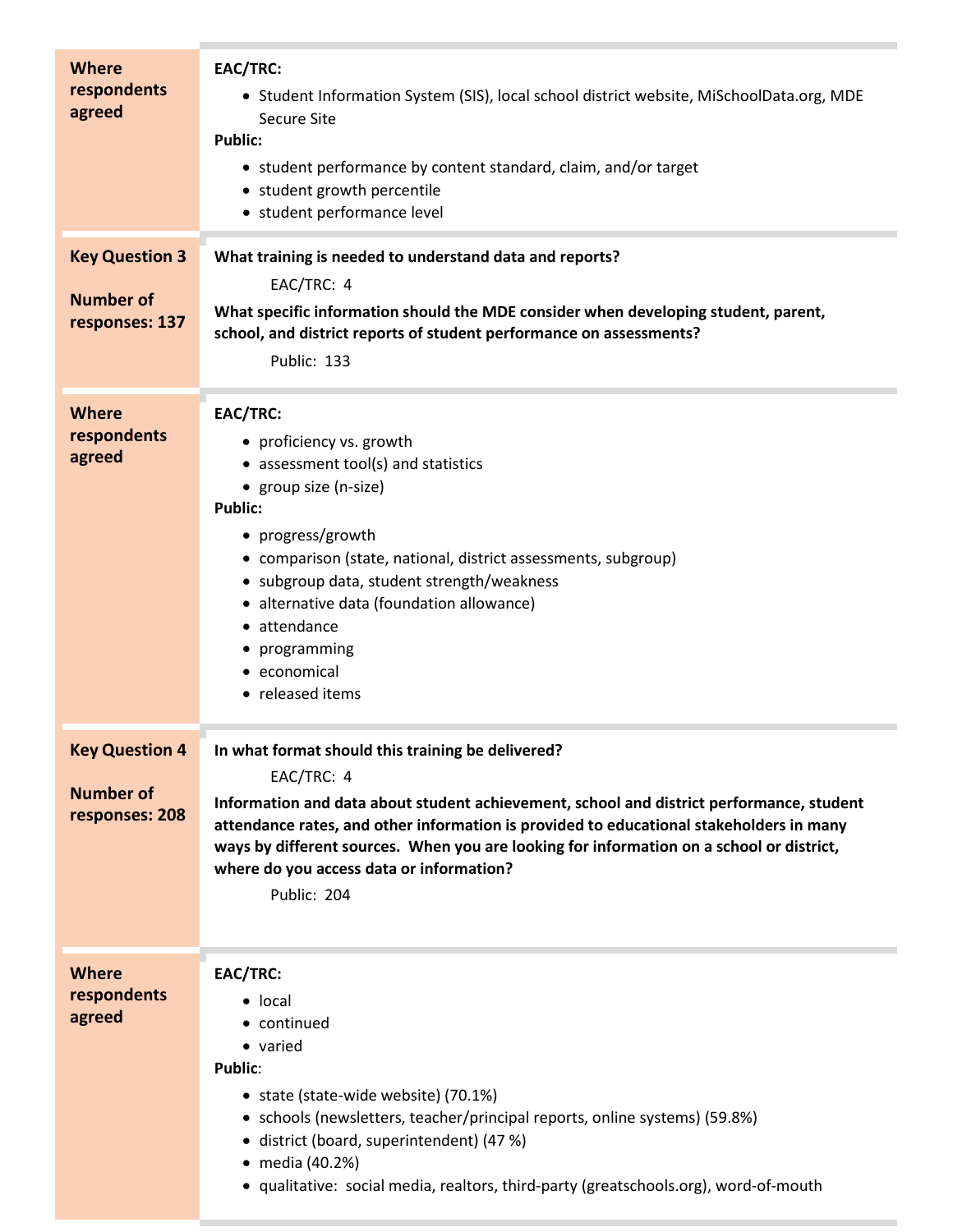| <b>Where</b><br>respondents<br>agreed                       | EAC/TRC:<br>• Student Information System (SIS), local school district website, MiSchoolData.org, MDE<br><b>Secure Site</b><br>Public:<br>• student performance by content standard, claim, and/or target<br>• student growth percentile<br>• student performance level                                                                                                                                        |
|-------------------------------------------------------------|---------------------------------------------------------------------------------------------------------------------------------------------------------------------------------------------------------------------------------------------------------------------------------------------------------------------------------------------------------------------------------------------------------------|
| <b>Key Question 3</b><br><b>Number of</b>                   | What training is needed to understand data and reports?<br>EAC/TRC: 4                                                                                                                                                                                                                                                                                                                                         |
| responses: 137                                              | What specific information should the MDE consider when developing student, parent,<br>school, and district reports of student performance on assessments?<br>Public: 133                                                                                                                                                                                                                                      |
| <b>Where</b><br>respondents<br>agreed                       | EAC/TRC:<br>• proficiency vs. growth<br>• assessment tool(s) and statistics<br>• group size (n-size)<br><b>Public:</b><br>• progress/growth<br>• comparison (state, national, district assessments, subgroup)<br>• subgroup data, student strength/weakness<br>• alternative data (foundation allowance)<br>• attendance<br>• programming<br>• economical<br>• released items                                 |
| <b>Key Question 4</b><br><b>Number of</b><br>responses: 208 | In what format should this training be delivered?<br>EAC/TRC: 4<br>Information and data about student achievement, school and district performance, student<br>attendance rates, and other information is provided to educational stakeholders in many<br>ways by different sources. When you are looking for information on a school or district,<br>where do you access data or information?<br>Public: 204 |
| <b>Where</b><br>respondents<br>agreed                       | <b>EAC/TRC:</b><br>$\bullet$ local<br>• continued<br>• varied<br><b>Public:</b><br>• state (state-wide website) (70.1%)<br>• schools (newsletters, teacher/principal reports, online systems) (59.8%)<br>• district (board, superintendent) (47 %)<br>• media (40.2%)<br>• qualitative: social media, realtors, third-party (greatschools.org), word-of-mouth                                                 |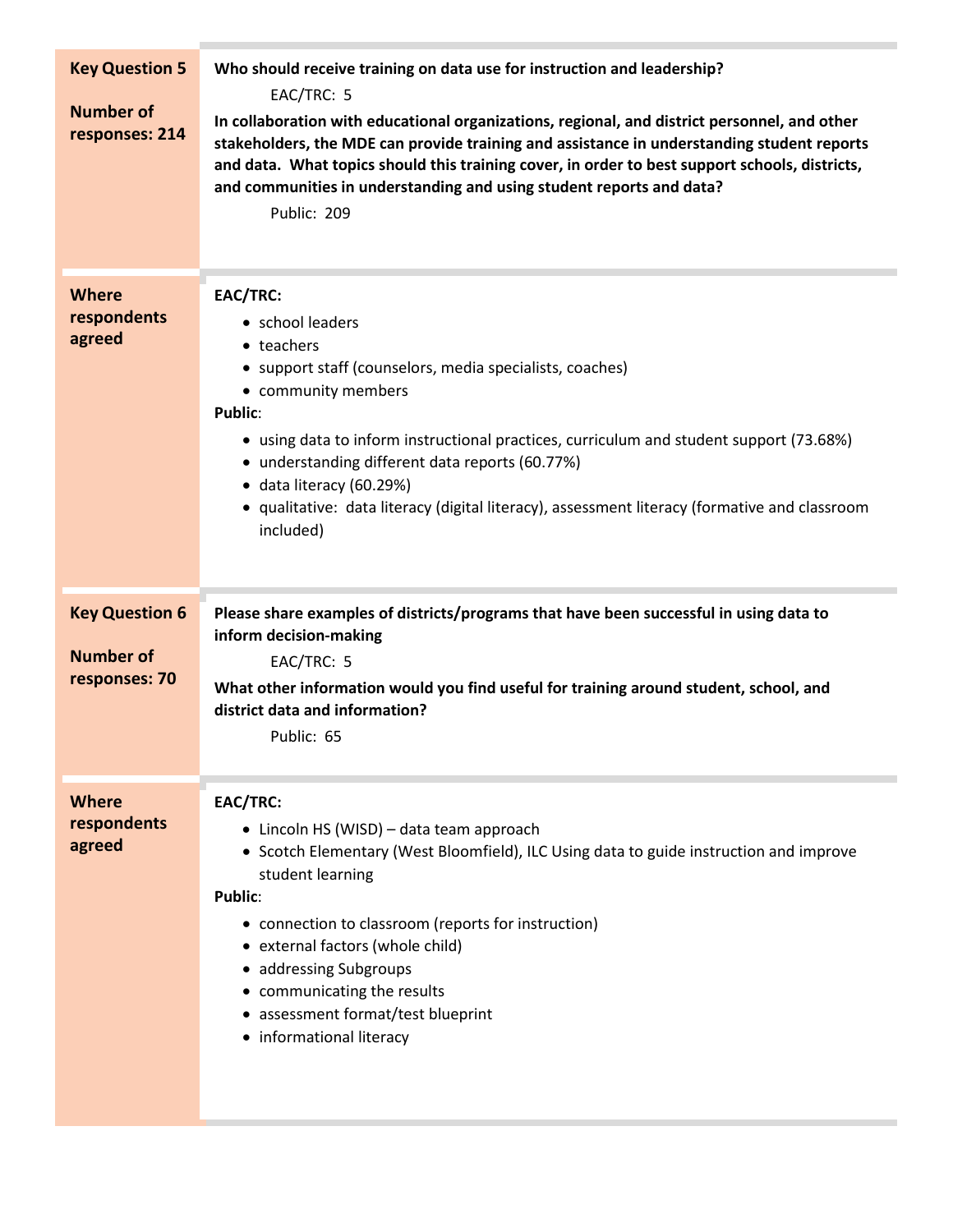| <b>Key Question 5</b><br><b>Number of</b><br>responses: 214 | Who should receive training on data use for instruction and leadership?<br>EAC/TRC: 5<br>In collaboration with educational organizations, regional, and district personnel, and other<br>stakeholders, the MDE can provide training and assistance in understanding student reports<br>and data. What topics should this training cover, in order to best support schools, districts,<br>and communities in understanding and using student reports and data?<br>Public: 209 |
|-------------------------------------------------------------|------------------------------------------------------------------------------------------------------------------------------------------------------------------------------------------------------------------------------------------------------------------------------------------------------------------------------------------------------------------------------------------------------------------------------------------------------------------------------|
| <b>Where</b><br>respondents<br>agreed                       | EAC/TRC:<br>• school leaders<br>• teachers<br>• support staff (counselors, media specialists, coaches)<br>• community members<br><b>Public:</b><br>• using data to inform instructional practices, curriculum and student support (73.68%)<br>• understanding different data reports (60.77%)<br>· data literacy (60.29%)<br>• qualitative: data literacy (digital literacy), assessment literacy (formative and classroom<br>included)                                      |
| <b>Key Question 6</b><br><b>Number of</b><br>responses: 70  | Please share examples of districts/programs that have been successful in using data to<br>inform decision-making<br>EAC/TRC: 5<br>What other information would you find useful for training around student, school, and                                                                                                                                                                                                                                                      |
|                                                             | district data and information?<br>Public: 65                                                                                                                                                                                                                                                                                                                                                                                                                                 |